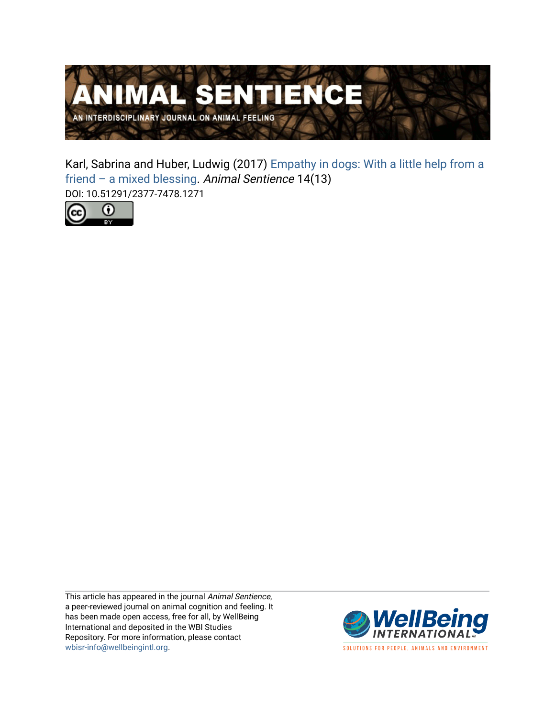

Karl, Sabrina and Huber, Ludwig (2017) [Empathy in dogs: With a little help from a](https://www.wellbeingintlstudiesrepository.org/animsent/vol2/iss14/13) [friend – a mixed blessing](https://www.wellbeingintlstudiesrepository.org/animsent/vol2/iss14/13). Animal Sentience 14(13) DOI: 10.51291/2377-7478.1271



This article has appeared in the journal Animal Sentience, a peer-reviewed journal on animal cognition and feeling. It has been made open access, free for all, by WellBeing International and deposited in the WBI Studies Repository. For more information, please contact [wbisr-info@wellbeingintl.org](mailto:wbisr-info@wellbeingintl.org).



SOLUTIONS FOR PEOPLE, ANIMALS AND ENVIRONMENT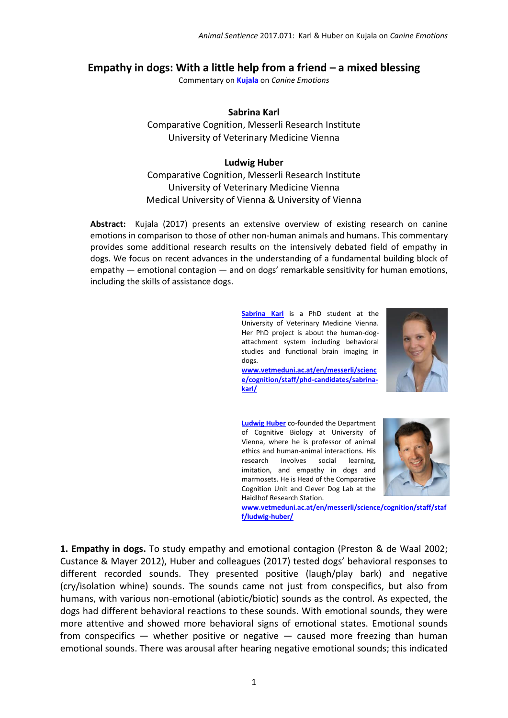## **Empathy in dogs: With a little help from a friend – a mixed blessing**

Commentary on **[Kujala](http://animalstudiesrepository.org/animsent/vol2/iss14/1/)** on *Canine Emotions*

## **Sabrina Karl**

Comparative Cognition, Messerli Research Institute University of Veterinary Medicine Vienna

## **Ludwig Huber**

Comparative Cognition, Messerli Research Institute University of Veterinary Medicine Vienna Medical University of Vienna & University of Vienna

**Abstract:** Kujala (2017) presents an extensive overview of existing research on canine emotions in comparison to those of other non-human animals and humans. This commentary provides some additional research results on the intensively debated field of empathy in dogs. We focus on recent advances in the understanding of a fundamental building block of  $empathy$  — emotional contagion — and on dogs' remarkable sensitivity for human emotions, including the skills of assistance dogs.

> **[Sabrina Karl](mailto:Sabrina.Karl@vetmeduni.ac.at)** is a PhD student at the University of Veterinary Medicine Vienna. Her PhD project is about the human-dogattachment system including behavioral studies and functional brain imaging in dogs.



**[www.vetmeduni.ac.at/en/messerli/scienc](http://www.vetmeduni.ac.at/en/messerli/science/cognition/staff/phd-candidates/sabrina-karl/) [e/cognition/staff/phd-candidates/sabrina](http://www.vetmeduni.ac.at/en/messerli/science/cognition/staff/phd-candidates/sabrina-karl/)[karl/](http://www.vetmeduni.ac.at/en/messerli/science/cognition/staff/phd-candidates/sabrina-karl/)**

**[Ludwig Huber](mailto:Ludwig.Huber@vetmeduni.ac.at)** co-founded the Department of Cognitive Biology at University of Vienna, where he is professor of animal ethics and human-animal interactions. His research involves social learning, imitation, and empathy in dogs and marmosets. He is Head of the Comparative Cognition Unit and Clever Dog Lab at the Haidlhof Research Station.



**[www.vetmeduni.ac.at/en/messerli/science/cognition/staff/staf](http://www.vetmeduni.ac.at/en/messerli/science/cognition/staff/staff/ludwig-huber/) [f/ludwig-huber/](http://www.vetmeduni.ac.at/en/messerli/science/cognition/staff/staff/ludwig-huber/)**

**1. Empathy in dogs.** To study empathy and emotional contagion (Preston & de Waal 2002; Custance & Mayer 2012), Huber and colleagues (2017) tested dogs' behavioral responses to different recorded sounds. They presented positive (laugh/play bark) and negative (cry/isolation whine) sounds. The sounds came not just from conspecifics, but also from humans, with various non-emotional (abiotic/biotic) sounds as the control. As expected, the dogs had different behavioral reactions to these sounds. With emotional sounds, they were more attentive and showed more behavioral signs of emotional states. Emotional sounds from conspecifics — whether positive or negative — caused more freezing than human emotional sounds. There was arousal after hearing negative emotional sounds; this indicated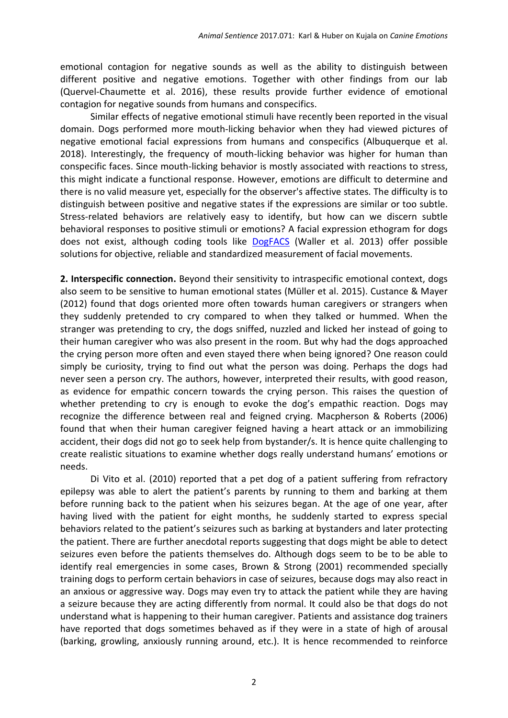emotional contagion for negative sounds as well as the ability to distinguish between different positive and negative emotions. Together with other findings from our lab (Quervel-Chaumette et al. 2016), these results provide further evidence of emotional contagion for negative sounds from humans and conspecifics.

Similar effects of negative emotional stimuli have recently been reported in the visual domain. Dogs performed more mouth-licking behavior when they had viewed pictures of negative emotional facial expressions from humans and conspecifics (Albuquerque et al. 2018). Interestingly, the frequency of mouth-licking behavior was higher for human than conspecific faces. Since mouth-licking behavior is mostly associated with reactions to stress, this might indicate a functional response. However, emotions are difficult to determine and there is no valid measure yet, especially for the observer's affective states. The difficulty is to distinguish between positive and negative states if the expressions are similar or too subtle. Stress-related behaviors are relatively easy to identify, but how can we discern subtle behavioral responses to positive stimuli or emotions? A facial expression ethogram for dogs does not exist, although coding tools like [DogFACS](http://www.dogfacs.com/) (Waller et al. 2013) offer possible solutions for objective, reliable and standardized measurement of facial movements.

**2. Interspecific connection.** Beyond their sensitivity to intraspecific emotional context, dogs also seem to be sensitive to human emotional states (Müller et al. 2015). Custance & Mayer (2012) found that dogs oriented more often towards human caregivers or strangers when they suddenly pretended to cry compared to when they talked or hummed. When the stranger was pretending to cry, the dogs sniffed, nuzzled and licked her instead of going to their human caregiver who was also present in the room. But why had the dogs approached the crying person more often and even stayed there when being ignored? One reason could simply be curiosity, trying to find out what the person was doing. Perhaps the dogs had never seen a person cry. The authors, however, interpreted their results, with good reason, as evidence for empathic concern towards the crying person. This raises the question of whether pretending to cry is enough to evoke the dog's empathic reaction. Dogs may recognize the difference between real and feigned crying. Macpherson & Roberts (2006) found that when their human caregiver feigned having a heart attack or an immobilizing accident, their dogs did not go to seek help from bystander/s. It is hence quite challenging to create realistic situations to examine whether dogs really understand humans' emotions or needs.

Di Vito et al. (2010) reported that a pet dog of a patient suffering from refractory epilepsy was able to alert the patient's parents by running to them and barking at them before running back to the patient when his seizures began. At the age of one year, after having lived with the patient for eight months, he suddenly started to express special behaviors related to the patient's seizures such as barking at bystanders and later protecting the patient. There are further anecdotal reports suggesting that dogs might be able to detect seizures even before the patients themselves do. Although dogs seem to be to be able to identify real emergencies in some cases, Brown & Strong (2001) recommended specially training dogs to perform certain behaviors in case of seizures, because dogs may also react in an anxious or aggressive way. Dogs may even try to attack the patient while they are having a seizure because they are acting differently from normal. It could also be that dogs do not understand what is happening to their human caregiver. Patients and assistance dog trainers have reported that dogs sometimes behaved as if they were in a state of high of arousal (barking, growling, anxiously running around, etc.). It is hence recommended to reinforce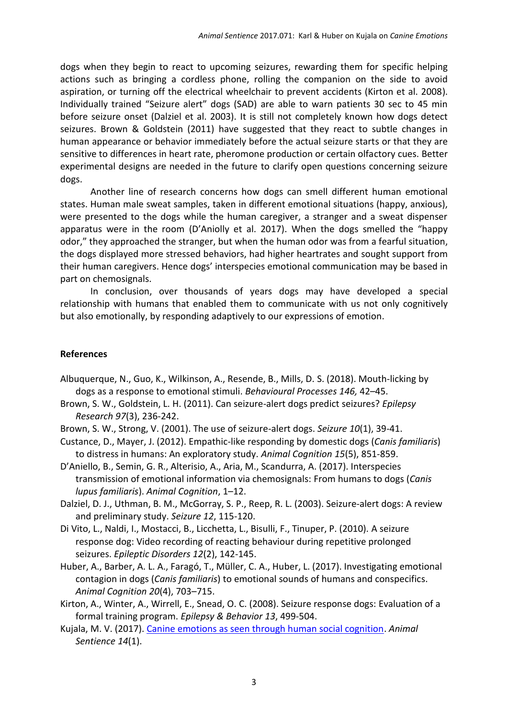dogs when they begin to react to upcoming seizures, rewarding them for specific helping actions such as bringing a cordless phone, rolling the companion on the side to avoid aspiration, or turning off the electrical wheelchair to prevent accidents (Kirton et al. 2008). Individually trained "Seizure alert" dogs (SAD) are able to warn patients 30 sec to 45 min before seizure onset (Dalziel et al. 2003). It is still not completely known how dogs detect seizures. Brown & Goldstein (2011) have suggested that they react to subtle changes in human appearance or behavior immediately before the actual seizure starts or that they are sensitive to differences in heart rate, pheromone production or certain olfactory cues. Better experimental designs are needed in the future to clarify open questions concerning seizure dogs.

Another line of research concerns how dogs can smell different human emotional states. Human male sweat samples, taken in different emotional situations (happy, anxious), were presented to the dogs while the human caregiver, a stranger and a sweat dispenser apparatus were in the room (D'Aniolly et al. 2017). When the dogs smelled the "happy odor," they approached the stranger, but when the human odor was from a fearful situation, the dogs displayed more stressed behaviors, had higher heartrates and sought support from their human caregivers. Hence dogs' interspecies emotional communication may be based in part on chemosignals.

In conclusion, over thousands of years dogs may have developed a special relationship with humans that enabled them to communicate with us not only cognitively but also emotionally, by responding adaptively to our expressions of emotion.

## **References**

- Albuquerque, N., Guo, K., Wilkinson, A., Resende, B., Mills, D. S. (2018). Mouth-licking by dogs as a response to emotional stimuli. *Behavioural Processes 146,* 42–45.
- Brown, S. W., Goldstein, L. H. (2011). Can seizure-alert dogs predict seizures? *Epilepsy Research 97*(3), 236-242.
- Brown, S. W., Strong, V. (2001). The use of seizure-alert dogs. *Seizure 10*(1), 39-41.
- Custance, D., Mayer, J. (2012). Empathic-like responding by domestic dogs (*Canis familiaris*) to distress in humans: An exploratory study. *Animal Cognition 15*(5), 851-859.
- D'Aniello, B., Semin, G. R., Alterisio, A., Aria, M., Scandurra, A. (2017). Interspecies transmission of emotional information via chemosignals: From humans to dogs (*Canis lupus familiaris*). *Animal Cognition*, 1–12.
- Dalziel, D. J., Uthman, B. M., McGorray, S. P., Reep, R. L. (2003). Seizure-alert dogs: A review and preliminary study. *Seizure 12*, 115-120.
- Di Vito, L., Naldi, I., Mostacci, B., Licchetta, L., Bisulli, F., Tinuper, P. (2010). A seizure response dog: Video recording of reacting behaviour during repetitive prolonged seizures. *Epileptic Disorders 12*(2), 142-145.
- Huber, A., Barber, A. L. A., Faragó, T., Müller, C. A., Huber, L. (2017). Investigating emotional contagion in dogs (*Canis familiaris*) to emotional sounds of humans and conspecifics. *Animal Cognition 20*(4), 703–715.

Kirton, A., Winter, A., Wirrell, E., Snead, O. C. (2008). Seizure response dogs: Evaluation of a formal training program. *Epilepsy & Behavior 13*, 499-504.

Kujala, M. V. (2017). [Canine emotions as seen through human social cognition.](http://animalstudiesrepository.org/animsent/vol2/iss14/1/) *Animal Sentience 14*(1).